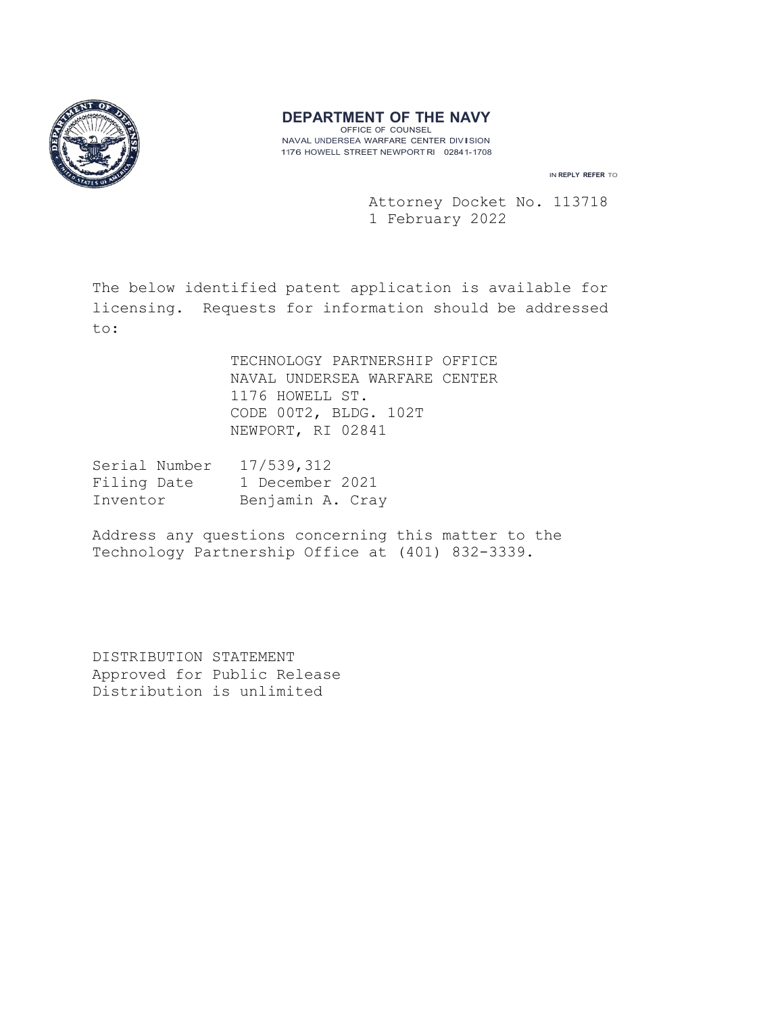

# **DEPARTMENT OF THE NAVY**

OFFICE OF COUNSEL NAVAL UNDERSEA WARFARE CENTER DIVISION 1176 HOWELL STREET NEWPORT Rl 02841-1708

IN **REPLY REFER** TO

 Attorney Docket No. 113718 1 February 2022

The below identified patent application is available for licensing. Requests for information should be addressed to:

> TECHNOLOGY PARTNERSHIP OFFICE NAVAL UNDERSEA WARFARE CENTER 1176 HOWELL ST. CODE 00T2, BLDG. 102T NEWPORT, RI 02841

| Serial Number | 17/539,312       |
|---------------|------------------|
| Filing Date   | 1 December 2021  |
| Inventor      | Benjamin A. Cray |

Address any questions concerning this matter to the Technology Partnership Office at (401) 832-3339.

DISTRIBUTION STATEMENT Approved for Public Release Distribution is unlimited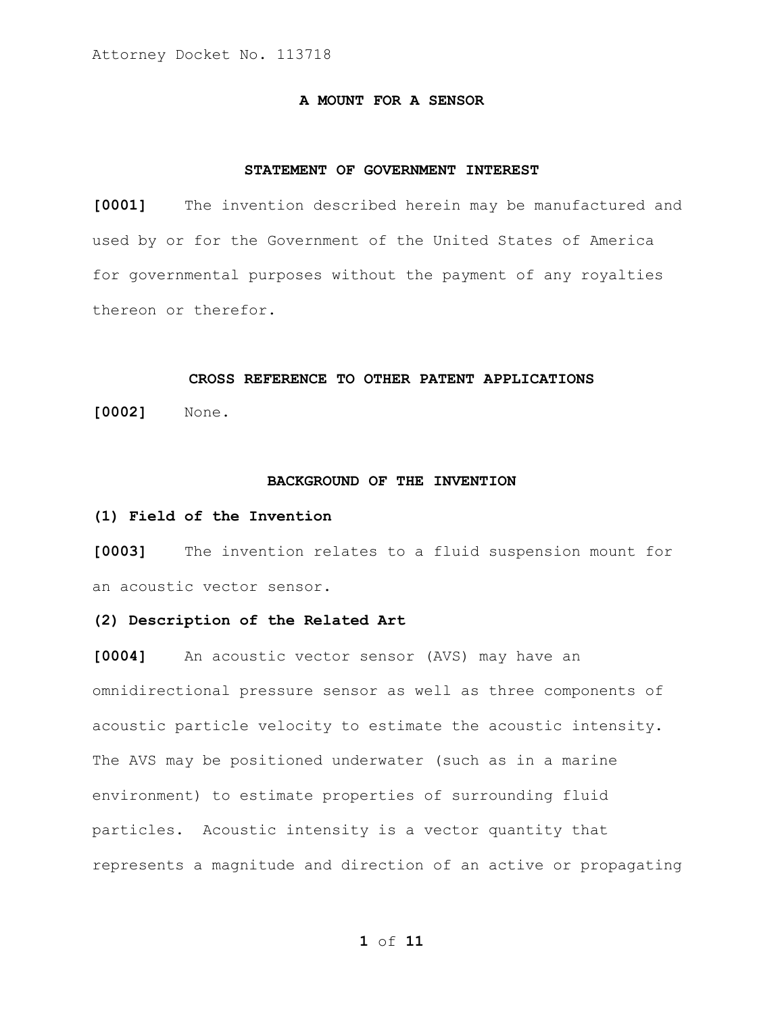### **A MOUNT FOR A SENSOR**

### **STATEMENT OF GOVERNMENT INTEREST**

**[0001]** The invention described herein may be manufactured and used by or for the Government of the United States of America for governmental purposes without the payment of any royalties thereon or therefor.

### **CROSS REFERENCE TO OTHER PATENT APPLICATIONS**

**[0002]** None.

#### **BACKGROUND OF THE INVENTION**

### **(1) Field of the Invention**

**[0003]** The invention relates to a fluid suspension mount for an acoustic vector sensor.

## **(2) Description of the Related Art**

**[0004]** An acoustic vector sensor (AVS) may have an omnidirectional pressure sensor as well as three components of acoustic particle velocity to estimate the acoustic intensity. The AVS may be positioned underwater (such as in a marine environment) to estimate properties of surrounding fluid particles. Acoustic intensity is a vector quantity that represents a magnitude and direction of an active or propagating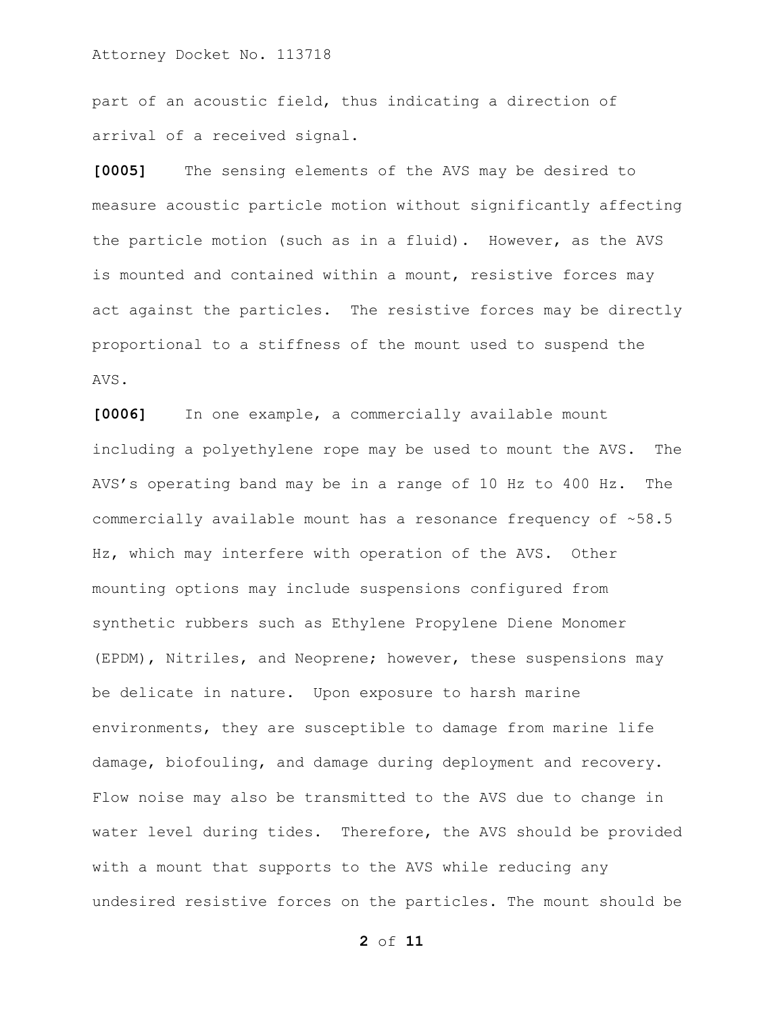part of an acoustic field, thus indicating a direction of arrival of a received signal.

**[0005]** The sensing elements of the AVS may be desired to measure acoustic particle motion without significantly affecting the particle motion (such as in a fluid). However, as the AVS is mounted and contained within a mount, resistive forces may act against the particles. The resistive forces may be directly proportional to a stiffness of the mount used to suspend the AVS.

**[0006]** In one example, a commercially available mount including a polyethylene rope may be used to mount the AVS. The AVS's operating band may be in a range of 10 Hz to 400 Hz. The commercially available mount has a resonance frequency of ~58.5 Hz, which may interfere with operation of the AVS. Other mounting options may include suspensions configured from synthetic rubbers such as Ethylene Propylene Diene Monomer (EPDM), Nitriles, and Neoprene; however, these suspensions may be delicate in nature. Upon exposure to harsh marine environments, they are susceptible to damage from marine life damage, biofouling, and damage during deployment and recovery. Flow noise may also be transmitted to the AVS due to change in water level during tides. Therefore, the AVS should be provided with a mount that supports to the AVS while reducing any undesired resistive forces on the particles. The mount should be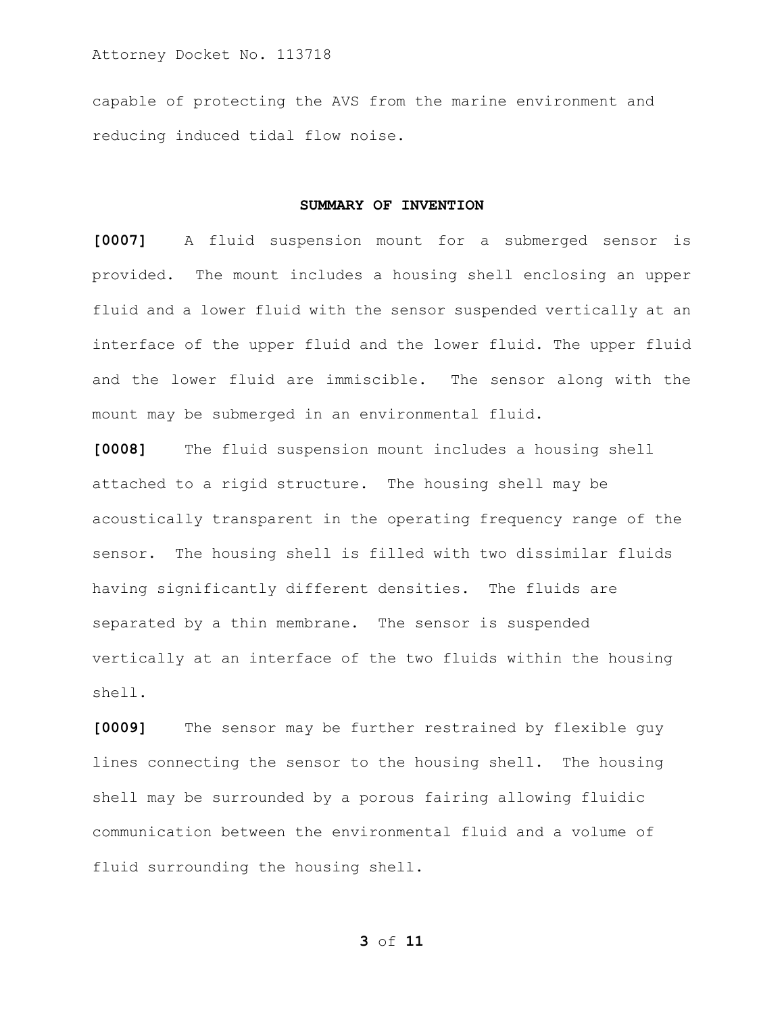capable of protecting the AVS from the marine environment and reducing induced tidal flow noise.

#### **SUMMARY OF INVENTION**

**[0007]** A fluid suspension mount for a submerged sensor is provided. The mount includes a housing shell enclosing an upper fluid and a lower fluid with the sensor suspended vertically at an interface of the upper fluid and the lower fluid. The upper fluid and the lower fluid are immiscible. The sensor along with the mount may be submerged in an environmental fluid.

**[0008]** The fluid suspension mount includes a housing shell attached to a rigid structure. The housing shell may be acoustically transparent in the operating frequency range of the sensor. The housing shell is filled with two dissimilar fluids having significantly different densities. The fluids are separated by a thin membrane. The sensor is suspended vertically at an interface of the two fluids within the housing shell.

**[0009]** The sensor may be further restrained by flexible guy lines connecting the sensor to the housing shell. The housing shell may be surrounded by a porous fairing allowing fluidic communication between the environmental fluid and a volume of fluid surrounding the housing shell.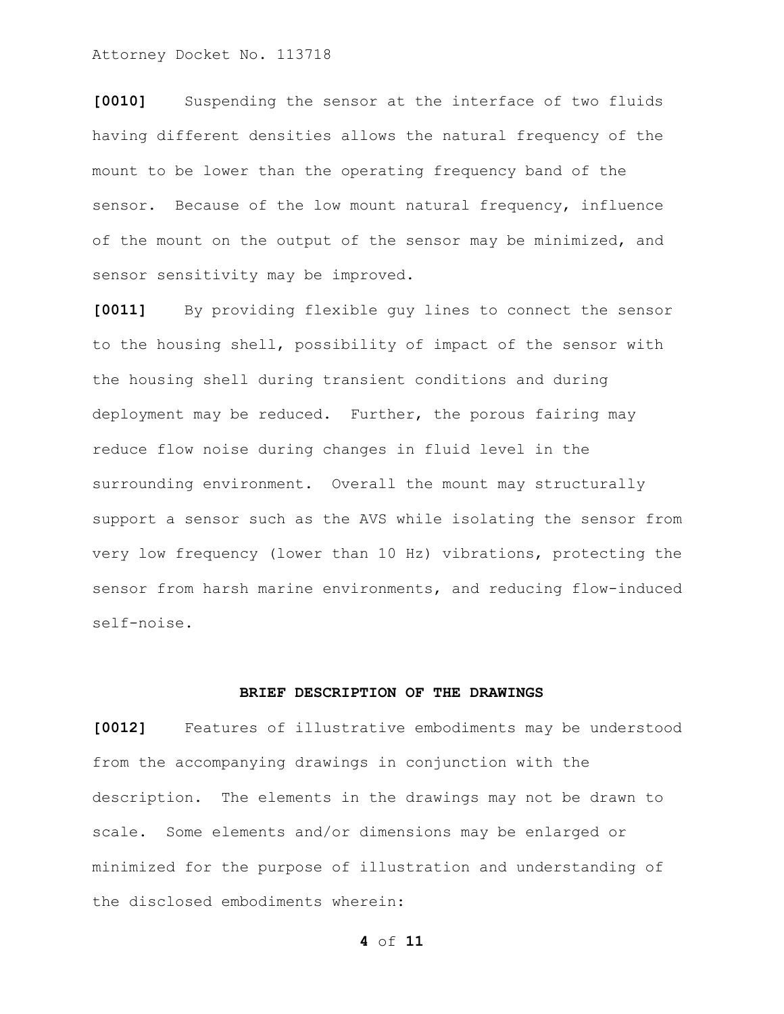**[0010]** Suspending the sensor at the interface of two fluids having different densities allows the natural frequency of the mount to be lower than the operating frequency band of the sensor. Because of the low mount natural frequency, influence of the mount on the output of the sensor may be minimized, and sensor sensitivity may be improved.

**[0011]** By providing flexible guy lines to connect the sensor to the housing shell, possibility of impact of the sensor with the housing shell during transient conditions and during deployment may be reduced. Further, the porous fairing may reduce flow noise during changes in fluid level in the surrounding environment. Overall the mount may structurally support a sensor such as the AVS while isolating the sensor from very low frequency (lower than 10 Hz) vibrations, protecting the sensor from harsh marine environments, and reducing flow-induced self-noise.

### **BRIEF DESCRIPTION OF THE DRAWINGS**

**[0012]** Features of illustrative embodiments may be understood from the accompanying drawings in conjunction with the description. The elements in the drawings may not be drawn to scale. Some elements and/or dimensions may be enlarged or minimized for the purpose of illustration and understanding of the disclosed embodiments wherein:

```
4 of 11
```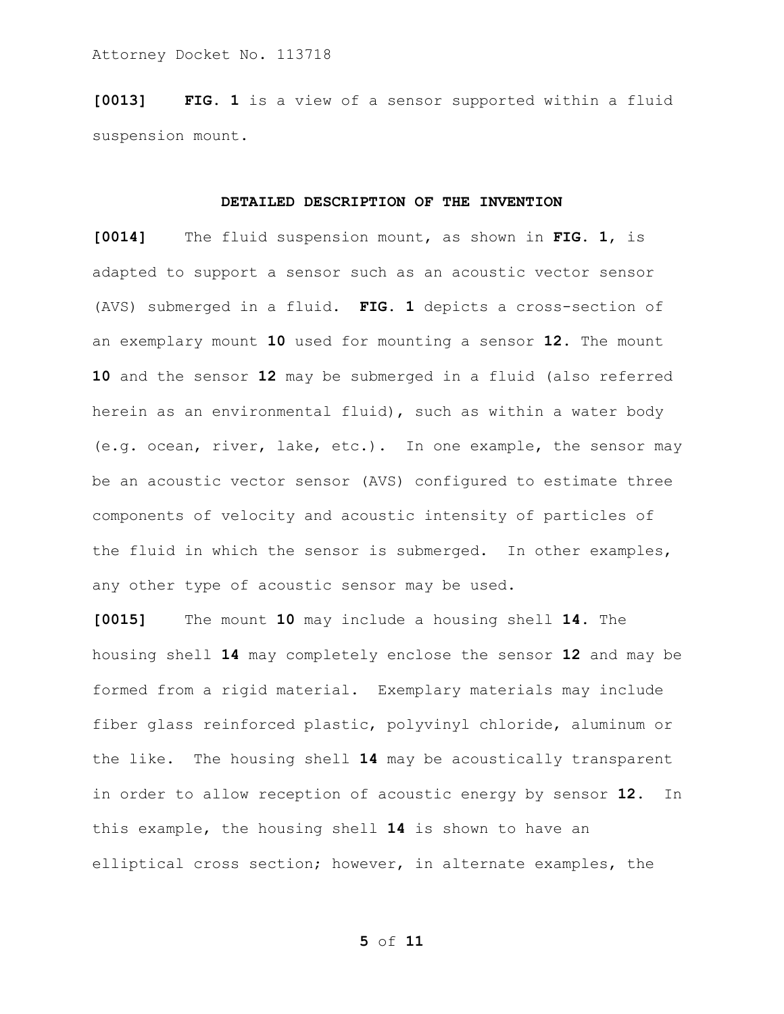**[0013] FIG. 1** is a view of a sensor supported within a fluid suspension mount.

#### **DETAILED DESCRIPTION OF THE INVENTION**

**[0014]** The fluid suspension mount, as shown in **FIG. 1**, is adapted to support a sensor such as an acoustic vector sensor (AVS) submerged in a fluid. **FIG. 1** depicts a cross-section of an exemplary mount **10** used for mounting a sensor **12**. The mount **10** and the sensor **12** may be submerged in a fluid (also referred herein as an environmental fluid), such as within a water body (e.g. ocean, river, lake, etc.). In one example, the sensor may be an acoustic vector sensor (AVS) configured to estimate three components of velocity and acoustic intensity of particles of the fluid in which the sensor is submerged. In other examples, any other type of acoustic sensor may be used.

**[0015]** The mount **10** may include a housing shell **14**. The housing shell **14** may completely enclose the sensor **12** and may be formed from a rigid material. Exemplary materials may include fiber glass reinforced plastic, polyvinyl chloride, aluminum or the like. The housing shell **14** may be acoustically transparent in order to allow reception of acoustic energy by sensor **12**. In this example, the housing shell **14** is shown to have an elliptical cross section; however, in alternate examples, the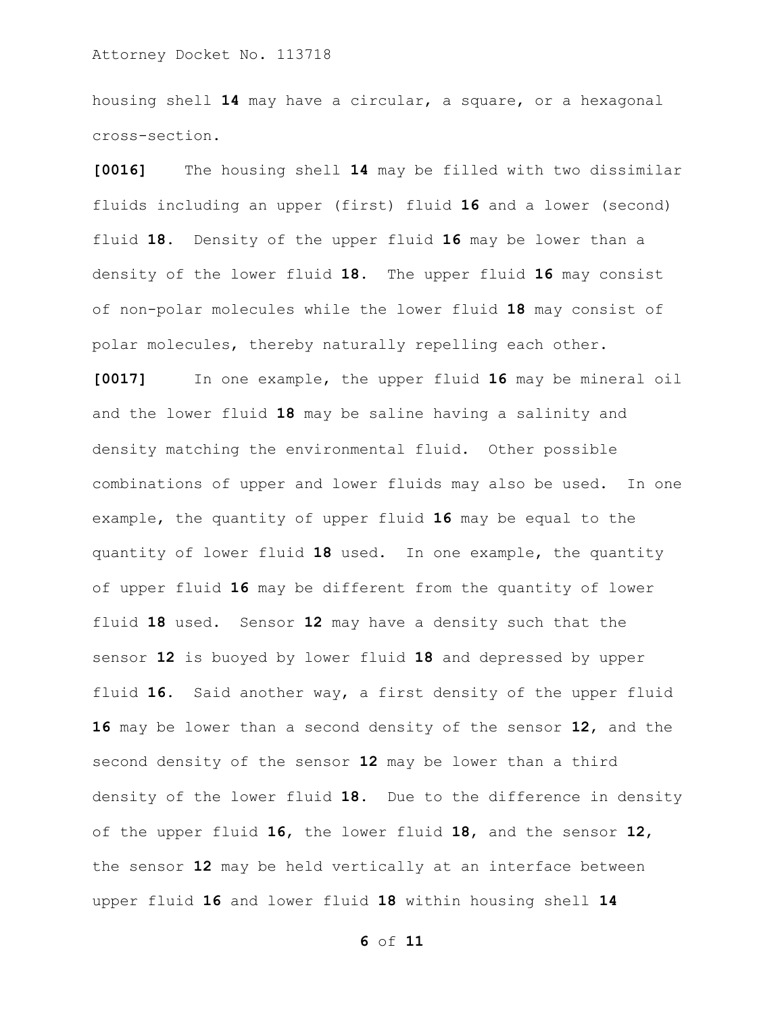housing shell **14** may have a circular, a square, or a hexagonal cross-section.

**[0016]** The housing shell **14** may be filled with two dissimilar fluids including an upper (first) fluid **16** and a lower (second) fluid **18**. Density of the upper fluid **16** may be lower than a density of the lower fluid **18**. The upper fluid **16** may consist of non-polar molecules while the lower fluid **18** may consist of polar molecules, thereby naturally repelling each other.

**[0017]** In one example, the upper fluid **16** may be mineral oil and the lower fluid **18** may be saline having a salinity and density matching the environmental fluid. Other possible combinations of upper and lower fluids may also be used. In one example, the quantity of upper fluid **16** may be equal to the quantity of lower fluid **18** used. In one example, the quantity of upper fluid **16** may be different from the quantity of lower fluid **18** used. Sensor **12** may have a density such that the sensor **12** is buoyed by lower fluid **18** and depressed by upper fluid **16**. Said another way, a first density of the upper fluid **16** may be lower than a second density of the sensor **12**, and the second density of the sensor **12** may be lower than a third density of the lower fluid **18**. Due to the difference in density of the upper fluid **16**, the lower fluid **18**, and the sensor **12**, the sensor **12** may be held vertically at an interface between upper fluid **16** and lower fluid **18** within housing shell **14**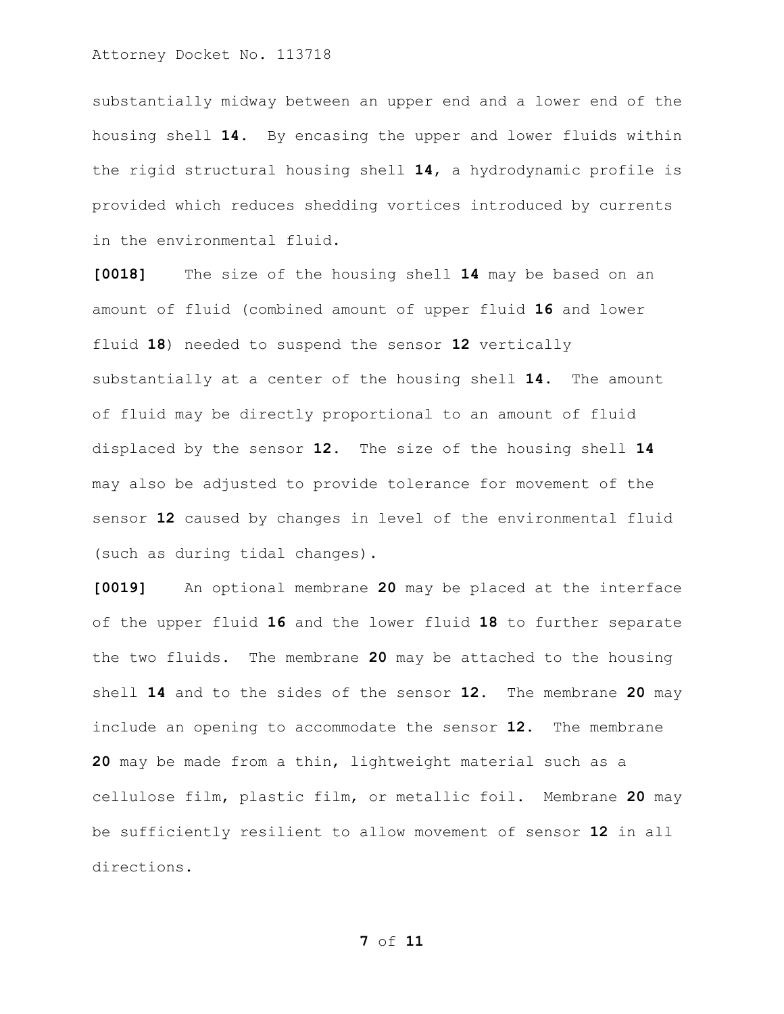substantially midway between an upper end and a lower end of the housing shell **14**. By encasing the upper and lower fluids within the rigid structural housing shell **14**, a hydrodynamic profile is provided which reduces shedding vortices introduced by currents in the environmental fluid.

**[0018]** The size of the housing shell **14** may be based on an amount of fluid (combined amount of upper fluid **16** and lower fluid **18**) needed to suspend the sensor **12** vertically substantially at a center of the housing shell **14**. The amount of fluid may be directly proportional to an amount of fluid displaced by the sensor **12**. The size of the housing shell **14** may also be adjusted to provide tolerance for movement of the sensor **12** caused by changes in level of the environmental fluid (such as during tidal changes).

**[0019]** An optional membrane **20** may be placed at the interface of the upper fluid **16** and the lower fluid **18** to further separate the two fluids. The membrane **20** may be attached to the housing shell **14** and to the sides of the sensor **12**. The membrane **20** may include an opening to accommodate the sensor **12**. The membrane **20** may be made from a thin, lightweight material such as a cellulose film, plastic film, or metallic foil. Membrane **20** may be sufficiently resilient to allow movement of sensor **12** in all directions.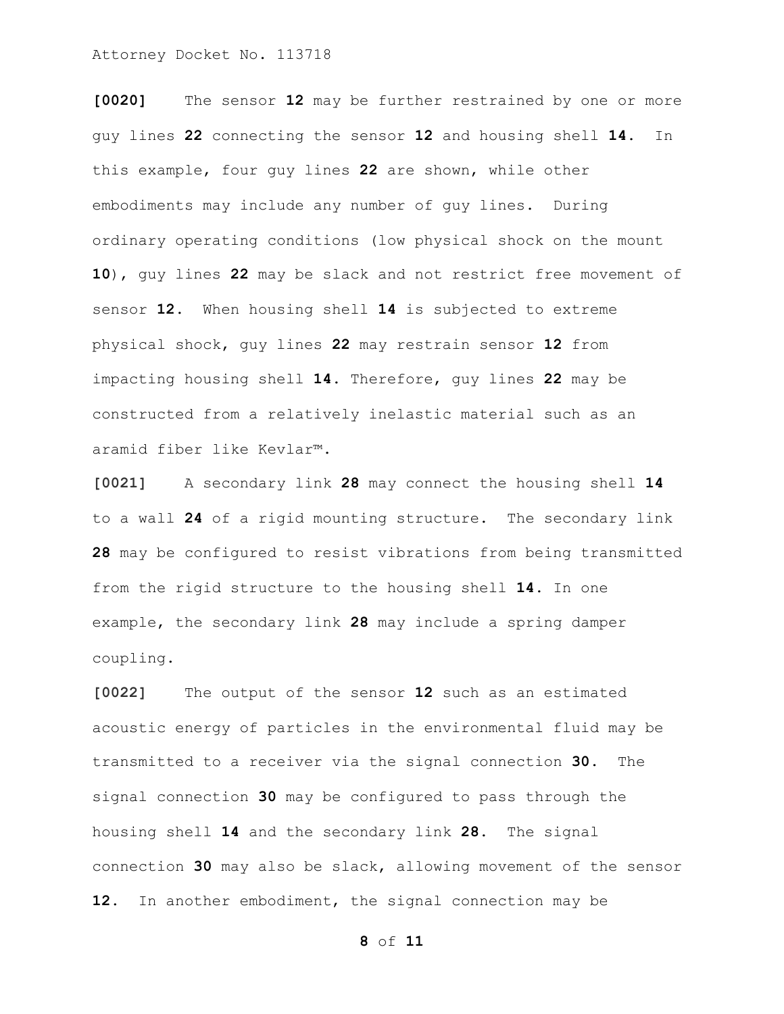**[0020]** The sensor **12** may be further restrained by one or more guy lines **22** connecting the sensor **12** and housing shell **14**. In this example, four guy lines **22** are shown, while other embodiments may include any number of guy lines. During ordinary operating conditions (low physical shock on the mount **10**), guy lines **22** may be slack and not restrict free movement of sensor **12**. When housing shell **14** is subjected to extreme physical shock, guy lines **22** may restrain sensor **12** from impacting housing shell **14**. Therefore, guy lines **22** may be constructed from a relatively inelastic material such as an aramid fiber like Kevlar™.

**[0021]** A secondary link **28** may connect the housing shell **14** to a wall **24** of a rigid mounting structure. The secondary link **28** may be configured to resist vibrations from being transmitted from the rigid structure to the housing shell **14**. In one example, the secondary link **28** may include a spring damper coupling.

**[0022]** The output of the sensor **12** such as an estimated acoustic energy of particles in the environmental fluid may be transmitted to a receiver via the signal connection **30**. The signal connection **30** may be configured to pass through the housing shell **14** and the secondary link **28**. The signal connection **30** may also be slack, allowing movement of the sensor **12**. In another embodiment, the signal connection may be

```
8 of 11
```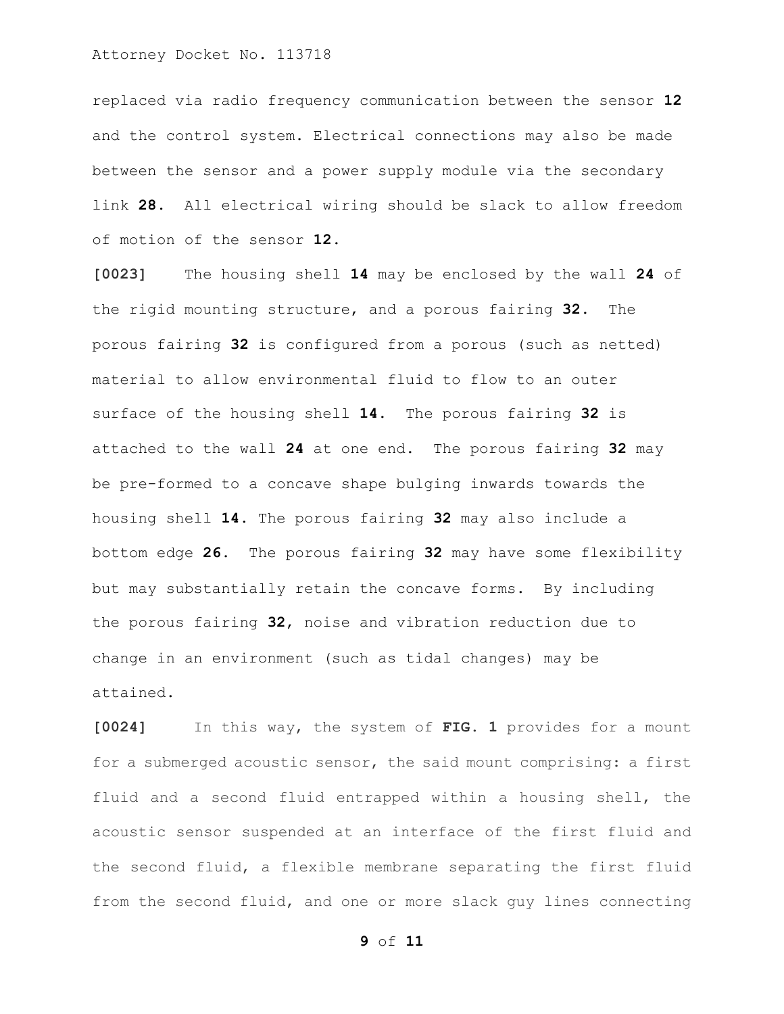replaced via radio frequency communication between the sensor **12** and the control system. Electrical connections may also be made between the sensor and a power supply module via the secondary link **28**. All electrical wiring should be slack to allow freedom of motion of the sensor **12**.

**[0023]** The housing shell **14** may be enclosed by the wall **24** of the rigid mounting structure, and a porous fairing **32**. The porous fairing **32** is configured from a porous (such as netted) material to allow environmental fluid to flow to an outer surface of the housing shell **14**. The porous fairing **32** is attached to the wall **24** at one end. The porous fairing **32** may be pre-formed to a concave shape bulging inwards towards the housing shell **14**. The porous fairing **32** may also include a bottom edge **26**. The porous fairing **32** may have some flexibility but may substantially retain the concave forms. By including the porous fairing **32**, noise and vibration reduction due to change in an environment (such as tidal changes) may be attained.

**[0024]** In this way, the system of **FIG. 1** provides for a mount for a submerged acoustic sensor, the said mount comprising: a first fluid and a second fluid entrapped within a housing shell, the acoustic sensor suspended at an interface of the first fluid and the second fluid, a flexible membrane separating the first fluid from the second fluid, and one or more slack guy lines connecting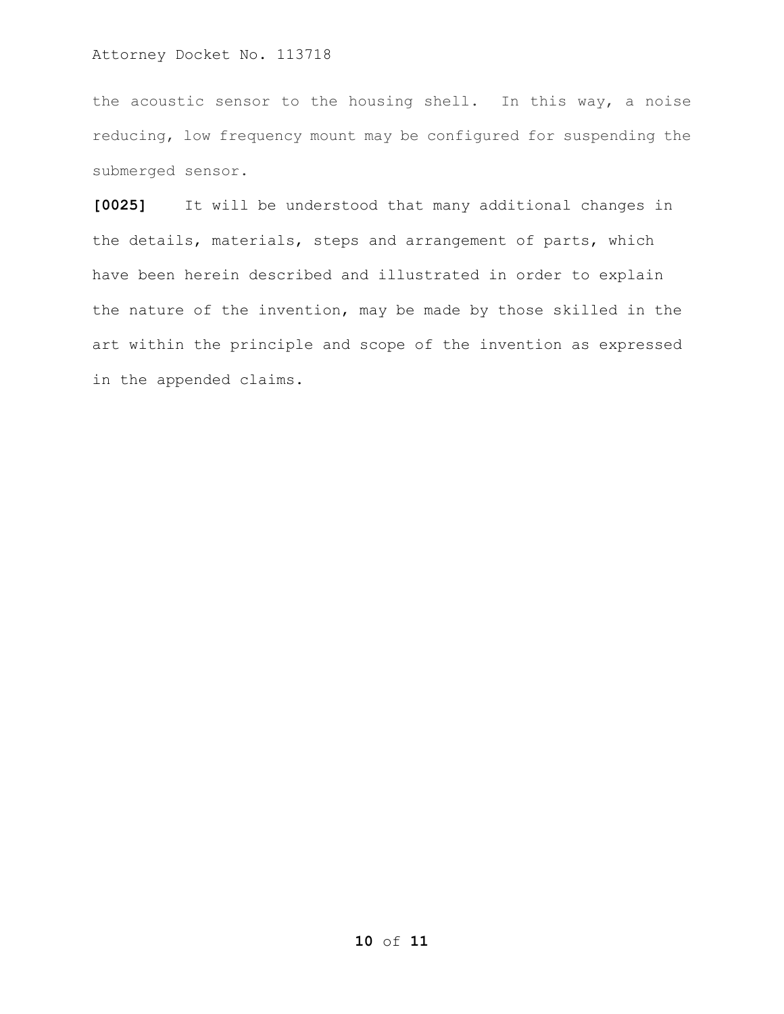the acoustic sensor to the housing shell. In this way, a noise reducing, low frequency mount may be configured for suspending the submerged sensor.

**[0025]** It will be understood that many additional changes in the details, materials, steps and arrangement of parts, which have been herein described and illustrated in order to explain the nature of the invention, may be made by those skilled in the art within the principle and scope of the invention as expressed in the appended claims.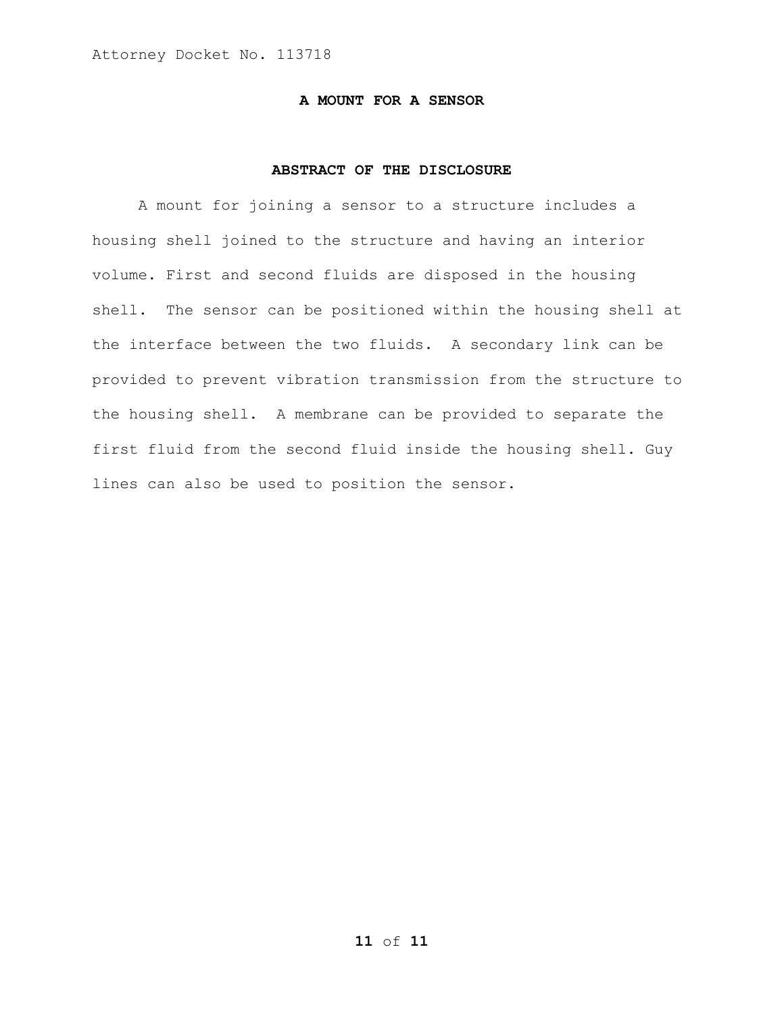## **A MOUNT FOR A SENSOR**

## **ABSTRACT OF THE DISCLOSURE**

A mount for joining a sensor to a structure includes a housing shell joined to the structure and having an interior volume. First and second fluids are disposed in the housing shell. The sensor can be positioned within the housing shell at the interface between the two fluids. A secondary link can be provided to prevent vibration transmission from the structure to the housing shell. A membrane can be provided to separate the first fluid from the second fluid inside the housing shell. Guy lines can also be used to position the sensor.